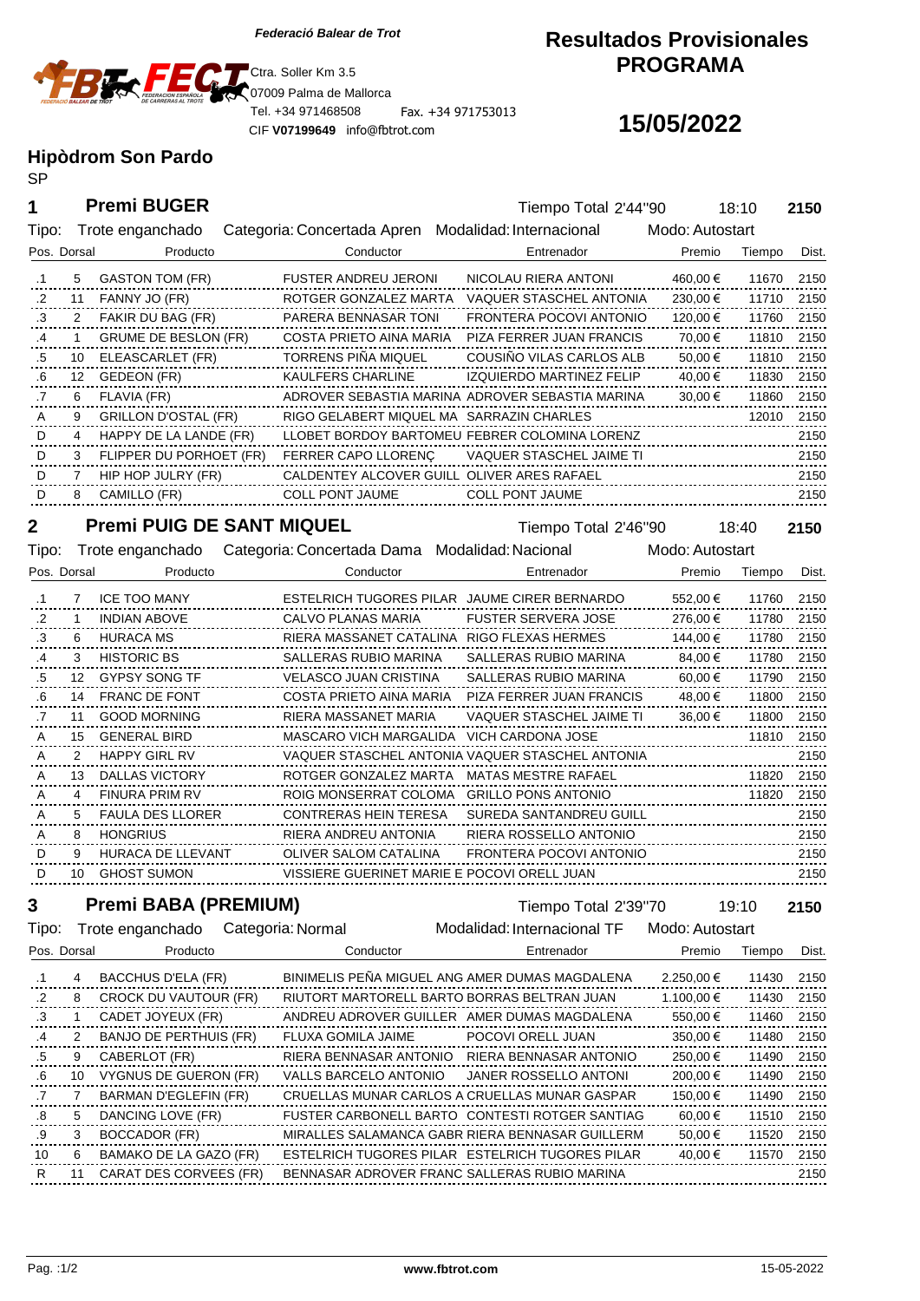

CIF **V07199649** info@fbtrot.com

### **Resultados Provisionales PROGRAMA**

# **15/05/2022**

# **Hipòdrom Son Pardo**

SP

**Premi BUGER**

| 1               |             | <b>Premi BUGER</b>               |                                                                 | Tiempo Total 2'44"90                            |                 |            | 18:10  | 2150  |
|-----------------|-------------|----------------------------------|-----------------------------------------------------------------|-------------------------------------------------|-----------------|------------|--------|-------|
| Tipo:           |             | Trote enganchado                 | Categoria: Concertada Apren Modalidad: Internacional            |                                                 | Modo: Autostart |            |        |       |
| Pos. Dorsal     |             | Producto                         | Conductor                                                       | Entrenador                                      |                 | Premio     | Tiempo | Dist. |
| $\cdot$ 1       | 5           | GASTON TOM (FR)                  | <b>FUSTER ANDREU JERONI</b>                                     | NICOLAU RIERA ANTONI                            |                 | 460,00 €   | 11670  | 2150  |
| $.2\phantom{0}$ | 11          | FANNY JO (FR)                    | ROTGER GONZALEZ MARTA                                           | VAQUER STASCHEL ANTONIA                         |                 | 230,00 €   | 11710  | 2150  |
| .3              | 2           | FAKIR DU BAG (FR)                | PARERA BENNASAR TONI                                            | FRONTERA POCOVI ANTONIO                         |                 | 120,00 €   | 11760  | 2150  |
| .4              | 1           | GRUME DE BESLON (FR)             | COSTA PRIETO AINA MARIA                                         | PIZA FERRER JUAN FRANCIS                        |                 | 70,00 €    | 11810  | 2150  |
| .5              | 10          | ELEASCARLET (FR)                 | TORRENS PINA MIQUEL                                             | COUSINO VILAS CARLOS ALB                        |                 | 50,00 €    | 11810  | 2150  |
| .6              | 12          | GEDEON (FR)                      | <b>KAULFERS CHARLINE</b>                                        | IZQUIERDO MARTINEZ FELIP                        |                 | 40,00 €    | 11830  | 2150  |
| .7              | 6           | FLAVIA (FR)                      |                                                                 | ADROVER SEBASTIA MARINA ADROVER SEBASTIA MARINA |                 | 30,00 €    | 11860  | 2150  |
| A               | 9           | GRILLON D'OSTAL (FR)             | RIGO GELABERT MIQUEL MA SARRAZIN CHARLES                        |                                                 |                 |            | 12010  | 2150  |
| D               | 4           | HAPPY DE LA LANDE (FR)           |                                                                 | LLOBET BORDOY BARTOMEU FEBRER COLOMINA LORENZ   |                 |            |        | 2150  |
| D               | 3           | FLIPPER DU PORHOET (FR)          | FERRER CAPO LLORENÇ                                             | VAQUER STASCHEL JAIME TI                        |                 |            |        | 2150  |
| D               | 7           | HIP HOP JULRY (FR)               | CALDENTEY ALCOVER GUILL OLIVER ARES RAFAEL                      |                                                 |                 |            |        | 2150  |
| D               | 8           | CAMILLO (FR)                     | COLL PONT JAUME                                                 | <b>COLL PONT JAUME</b>                          |                 |            |        | 2150  |
|                 |             |                                  |                                                                 |                                                 |                 |            |        |       |
| 2               |             | <b>Premi PUIG DE SANT MIQUEL</b> |                                                                 | Tiempo Total 2'46"90                            |                 |            | 18:40  | 2150  |
| Tipo:           |             |                                  | Trote enganchado Categoria: Concertada Dama Modalidad: Nacional |                                                 | Modo: Autostart |            |        |       |
| Pos. Dorsal     |             | Producto                         | Conductor                                                       | Entrenador                                      |                 | Premio     | Tiempo | Dist. |
| .1              | $7^{\circ}$ | <b>ICE TOO MANY</b>              |                                                                 | ESTELRICH TUGORES PILAR JAUME CIRER BERNARDO    |                 | 552,00 €   | 11760  | 2150  |
| .2              | 1           | INDIAN ABOVE                     | CALVO PLANAS MARIA                                              | <b>FUSTER SERVERA JOSE</b>                      |                 | 276,00 €   | 11780  | 2150  |
| .3              | 6           | HURACA MS                        | RIERA MASSANET CATALINA RIGO FLEXAS HERMES                      |                                                 |                 | 144,00 €   | 11780  | 2150  |
| .4              | 3           | <b>HISTORIC BS</b>               | SALLERAS RUBIO MARINA                                           | SALLERAS RUBIO MARINA                           |                 | 84,00 €    | 11780  | 2150  |
| .5              | 12          | GYPSY SONG TF                    | VELASCO JUAN CRISTINA                                           | SALLERAS RUBIO MARINA                           |                 | 60,00 €    | 11790  | 2150  |
| .6              |             | 14 FRANC DE FONT                 | COSTA PRIETO AINA MARIA                                         | PIZA FERRER JUAN FRANCIS                        |                 | 48,00 €    | 11800  | 2150  |
| .7              | 11          | <b>GOOD MORNING</b>              | RIERA MASSANET MARIA                                            | VAQUER STASCHEL JAIME TI                        |                 | 36,00 €    | 11800  | 2150  |
| Α               | 15          | <b>GENERAL BIRD</b>              | MASCARO VICH MARGALIDA                                          | VICH CARDONA JOSE                               |                 |            | 11810  | 2150  |
| Α               | 2           | <b>HAPPY GIRL RV</b>             |                                                                 | VAQUER STASCHEL ANTONIA VAQUER STASCHEL ANTONIA |                 |            |        | 2150  |
| A               | 13          | DALLAS VICTORY                   | ROTGER GONZALEZ MARTA                                           | MATAS MESTRE RAFAEL                             |                 |            | 11820  | 2150  |
| A               | 4           | FINURA PRIM RV                   |                                                                 | ROIG MONSERRAT COLOMA GRILLO PONS ANTONIO       |                 |            | 11820  | 2150  |
| A               | 5           | <b>FAULA DES LLORER</b>          | CONTRERAS HEIN TERESA                                           | SUREDA SANTANDREU GUILL                         |                 |            |        | 2150  |
| A               | 8           | <b>HONGRIUS</b>                  | RIERA ANDREU ANTONIA                                            | RIERA ROSSELLO ANTONIO                          |                 |            |        | 2150  |
| D               | 9           | HURACA DE LLEVANT                | OLIVER SALOM CATALINA                                           | FRONTERA POCOVI ANTONIO                         |                 |            |        | 2150  |
| D               | 10          | <b>GHOST SUMON</b>               | VISSIERE GUERINET MARIE E POCOVI ORELL JUAN                     |                                                 |                 |            |        | 2150  |
| 3               |             | <b>Premi BABA (PREMIUM)</b>      |                                                                 |                                                 |                 |            |        |       |
|                 |             |                                  |                                                                 | Tiempo Total 2'39"70                            |                 |            | 19:10  | 2150  |
| Tipo:           |             | Trote enganchado                 | Categoria: Normal                                               | Modalidad: Internacional TF                     | Modo: Autostart |            |        |       |
| Pos. Dorsal     |             | Producto                         | Conductor                                                       | Entrenador                                      |                 | Premio     | Tiempo | Dist. |
| $\cdot$ 1       | 4           | BACCHUS D'ELA (FR)               |                                                                 | BINIMELIS PEÑA MIGUEL ANG AMER DUMAS MAGDALENA  |                 | 2.250,00 € | 11430  | 2150  |
| .2              | 8           | CROCK DU VAUTOUR (FR)            |                                                                 | RIUTORT MARTORELL BARTO BORRAS BELTRAN JUAN     |                 | 1.100,00 € | 11430  | 2150  |
| .3              | 1           | CADET JOYEUX (FR)                |                                                                 | ANDREU ADROVER GUILLER AMER DUMAS MAGDALENA     |                 | 550,00 €   | 11460  | 2150  |
| .4              | 2           | BANJO DE PERTHUIS (FR)           | FLUXA GOMILA JAIME                                              | POCOVI ORELL JUAN                               |                 | 350,00 €   | 11480  | 2150  |
| .5              | 9           | CABERLOT (FR)                    | RIERA BENNASAR ANTONIO                                          | RIERA BENNASAR ANTONIO                          |                 | 250,00 €   | 11490  | 2150  |
| .6              | 10          | VYGNUS DE GUERON (FR)            | VALLS BARCELO ANTONIO                                           | JANER ROSSELLO ANTONI                           |                 | 200,00 €   | 11490  | 2150  |
| .7              | 7           | BARMAN D'EGLEFIN (FR)            |                                                                 | CRUELLAS MUNAR CARLOS A CRUELLAS MUNAR GASPAR   |                 | 150,00 €   | 11490  | 2150  |
| .8              | 5           | DANCING LOVE (FR)                |                                                                 | FUSTER CARBONELL BARTO CONTESTI ROTGER SANTIAG  |                 | 60,00 €    | 11510  | 2150  |
| .9              | 3           | BOCCADOR (FR)                    |                                                                 | MIRALLES SALAMANCA GABR RIERA BENNASAR GUILLERM |                 | 50,00 €    | 11520  | 2150  |
| 10              | 6           | BAMAKO DE LA GAZO (FR)           |                                                                 | ESTELRICH TUGORES PILAR ESTELRICH TUGORES PILAR |                 | 40,00 €    | 11570  | 2150  |
| R               | 11          | CARAT DES CORVEES (FR)           |                                                                 | BENNASAR ADROVER FRANC SALLERAS RUBIO MARINA    |                 |            |        | 2150  |